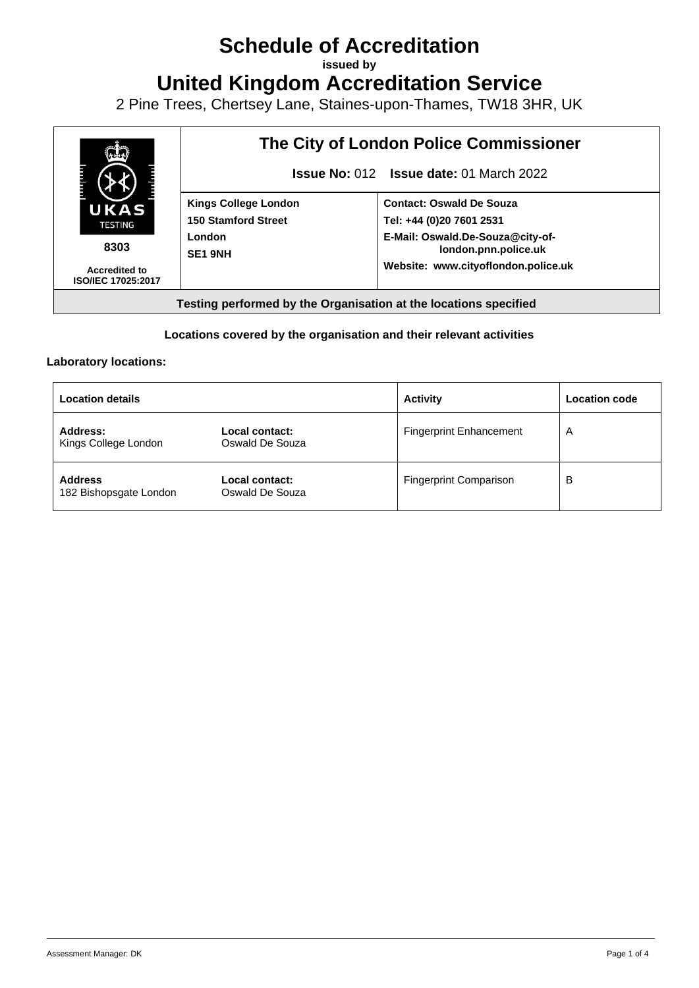# **Schedule of Accreditation**

**issued by**

**United Kingdom Accreditation Service**

2 Pine Trees, Chertsey Lane, Staines-upon-Thames, TW18 3HR, UK



#### **Locations covered by the organisation and their relevant activities**

#### **Laboratory locations:**

| <b>Location details</b>                  |                                   | <b>Activity</b>                | <b>Location code</b> |
|------------------------------------------|-----------------------------------|--------------------------------|----------------------|
| Address:<br>Kings College London         | Local contact:<br>Oswald De Souza | <b>Fingerprint Enhancement</b> | A                    |
| <b>Address</b><br>182 Bishopsgate London | Local contact:<br>Oswald De Souza | <b>Fingerprint Comparison</b>  | B                    |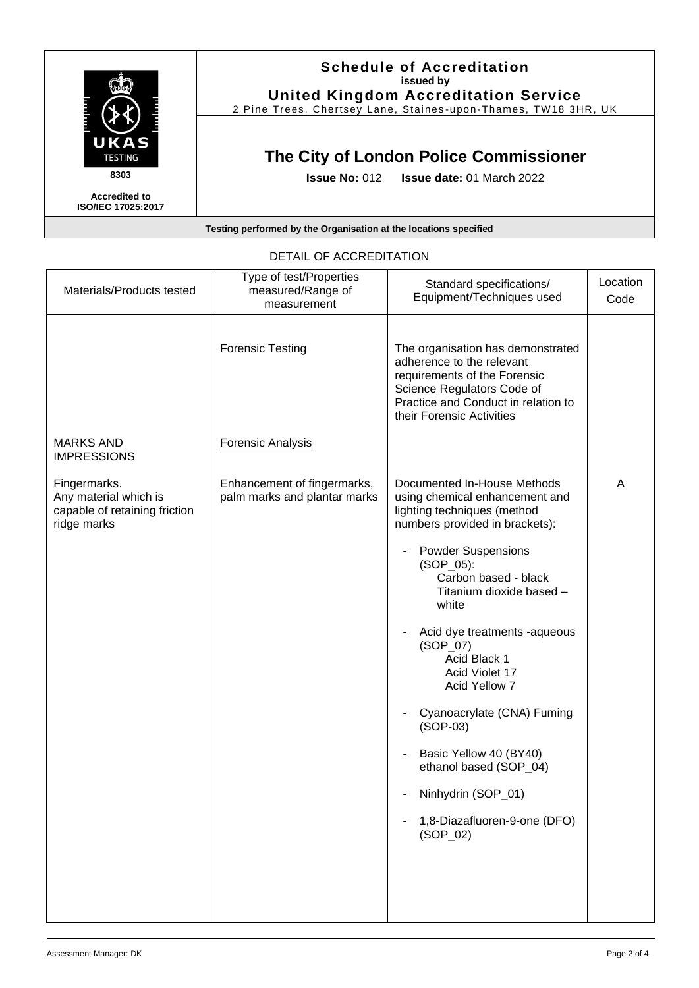

**Accredited to ISO/IEC 17025:2017**

#### **Schedule of Accreditation issued by United Kingdom Accreditation Service**

2 Pine Trees, Chertsey Lane, Staines -upon -Thames, TW18 3HR, UK

## **The City of London Police Commissioner**

**Issue No:** 012 **Issue date:** 01 March 2022

#### **Testing performed by the Organisation at the locations specified**

| Materials/Products tested                                                             | Type of test/Properties<br>measured/Range of<br>measurement | Standard specifications/<br>Equipment/Techniques used                                                                                                                                            | Location<br>Code |
|---------------------------------------------------------------------------------------|-------------------------------------------------------------|--------------------------------------------------------------------------------------------------------------------------------------------------------------------------------------------------|------------------|
|                                                                                       | <b>Forensic Testing</b>                                     | The organisation has demonstrated<br>adherence to the relevant<br>requirements of the Forensic<br>Science Regulators Code of<br>Practice and Conduct in relation to<br>their Forensic Activities |                  |
| <b>MARKS AND</b><br><b>IMPRESSIONS</b>                                                | <b>Forensic Analysis</b>                                    |                                                                                                                                                                                                  |                  |
| Fingermarks.<br>Any material which is<br>capable of retaining friction<br>ridge marks | Enhancement of fingermarks,<br>palm marks and plantar marks | Documented In-House Methods<br>using chemical enhancement and<br>lighting techniques (method<br>numbers provided in brackets):                                                                   | A                |
|                                                                                       |                                                             | <b>Powder Suspensions</b><br>$(SOP_05)$ :<br>Carbon based - black<br>Titanium dioxide based -<br>white                                                                                           |                  |
|                                                                                       |                                                             | Acid dye treatments -aqueous<br>$(SOP_07)$<br>Acid Black 1<br>Acid Violet 17<br>Acid Yellow 7                                                                                                    |                  |
|                                                                                       |                                                             | Cyanoacrylate (CNA) Fuming<br>$(SOP-03)$                                                                                                                                                         |                  |
|                                                                                       |                                                             | Basic Yellow 40 (BY40)<br>ethanol based (SOP_04)                                                                                                                                                 |                  |
|                                                                                       |                                                             | Ninhydrin (SOP_01)                                                                                                                                                                               |                  |
|                                                                                       |                                                             | 1,8-Diazafluoren-9-one (DFO)<br>$(SOP_02)$                                                                                                                                                       |                  |
|                                                                                       |                                                             |                                                                                                                                                                                                  |                  |

### DETAIL OF ACCREDITATION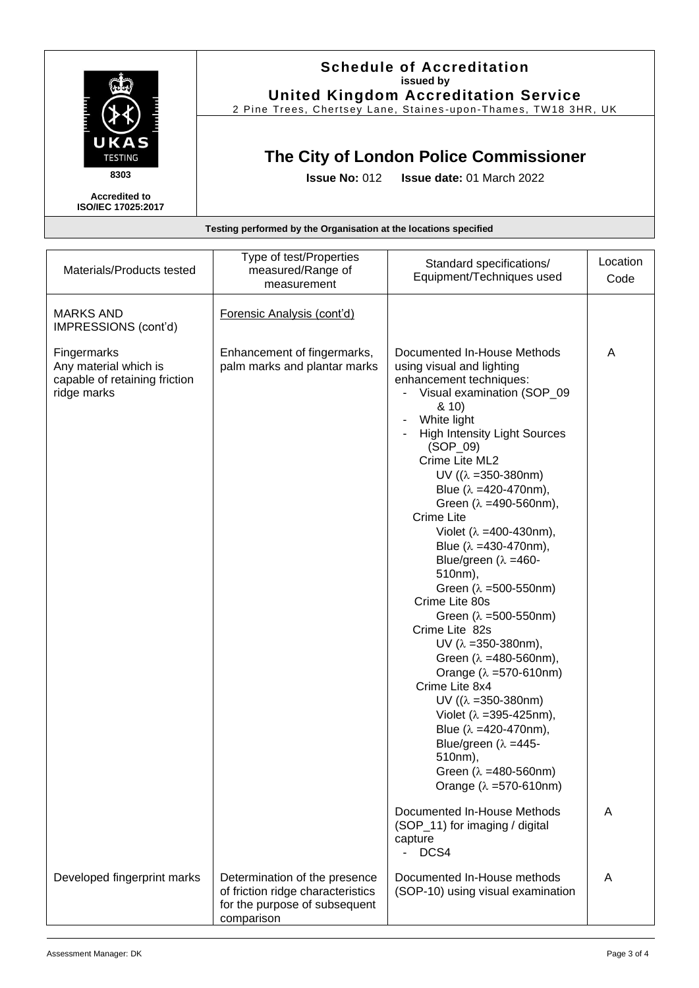

**Accredited to ISO/IEC 17025:2017**

#### **Schedule of Accreditation issued by United Kingdom Accreditation Service**

2 Pine Trees, Chertsey Lane, Staines -upon -Thames, TW18 3HR, UK

### **The City of London Police Commissioner**

**Issue No:** 012 **Issue date:** 01 March 2022

#### **Testing performed by the Organisation at the locations specified**

| measured/Range of<br>measurement                                                                    | Standard specifications/<br>Equipment/Techniques used                                                                                                                                                                                                                                                                                                                                                                                                                                                                                                                                                                                                                                                                                                                                                                                                                                                                                                                                       | Location<br>Code |
|-----------------------------------------------------------------------------------------------------|---------------------------------------------------------------------------------------------------------------------------------------------------------------------------------------------------------------------------------------------------------------------------------------------------------------------------------------------------------------------------------------------------------------------------------------------------------------------------------------------------------------------------------------------------------------------------------------------------------------------------------------------------------------------------------------------------------------------------------------------------------------------------------------------------------------------------------------------------------------------------------------------------------------------------------------------------------------------------------------------|------------------|
| Forensic Analysis (cont'd)                                                                          |                                                                                                                                                                                                                                                                                                                                                                                                                                                                                                                                                                                                                                                                                                                                                                                                                                                                                                                                                                                             |                  |
| Enhancement of fingermarks,<br>palm marks and plantar marks                                         | Documented In-House Methods<br>using visual and lighting<br>enhancement techniques:<br>Visual examination (SOP_09<br>-<br>8(10)<br>White light<br><b>High Intensity Light Sources</b><br>$(SOP_09)$<br>Crime Lite ML2<br>UV $((\lambda = 350 - 380)$ nm)<br>Blue $(\lambda = 420 - 470)$ ,<br>Green $(\lambda = 490 - 560)$ nm),<br>Crime Lite<br>Violet ( $\lambda$ =400-430nm),<br>Blue ( $\lambda$ =430-470nm),<br>Blue/green ( $\lambda$ =460-<br>510nm),<br>Green $(\lambda = 500 - 550$ nm)<br>Crime Lite 80s<br>Green $(\lambda = 500 - 550$ nm)<br>Crime Lite 82s<br>UV ( $\lambda$ =350-380nm),<br>Green $(\lambda = 480 - 560)$ nm),<br>Orange ( $\lambda$ =570-610nm)<br>Crime Lite 8x4<br>UV $((\lambda = 350 - 380)$ nm)<br>Violet ( $\lambda$ =395-425nm),<br>Blue ( $\lambda$ =420-470nm),<br>Blue/green ( $\lambda$ =445-<br>510nm),<br>Green ( $\lambda$ =480-560nm)<br>Orange $(\lambda = 570 - 610$ nm)<br>Documented In-House Methods<br>(SOP_11) for imaging / digital | A<br>A           |
| Determination of the presence<br>of friction ridge characteristics<br>for the purpose of subsequent | DCS4<br>$\overline{\phantom{a}}$<br>Documented In-House methods<br>(SOP-10) using visual examination                                                                                                                                                                                                                                                                                                                                                                                                                                                                                                                                                                                                                                                                                                                                                                                                                                                                                        | A                |
|                                                                                                     | comparison                                                                                                                                                                                                                                                                                                                                                                                                                                                                                                                                                                                                                                                                                                                                                                                                                                                                                                                                                                                  | capture          |